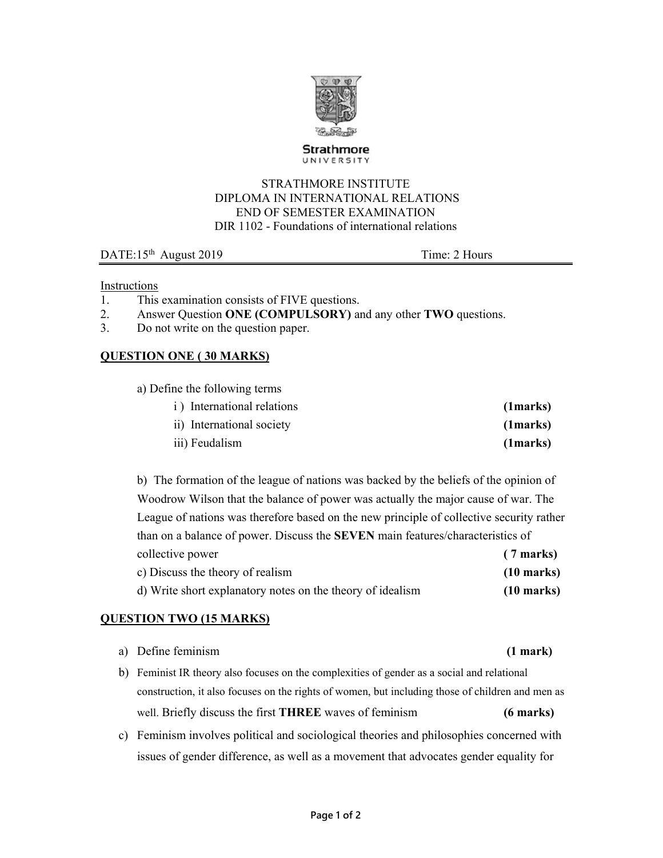

**Strathmore** UNIVERSITY

#### STRATHMORE INSTITUTE DIPLOMA IN INTERNATIONAL RELATIONS END OF SEMESTER EXAMINATION DIR 1102 - Foundations of international relations

DATE:15<sup>th</sup> August 2019 Time: 2 Hours

Instructions

- 1. This examination consists of FIVE questions.
- 2. Answer Question **ONE (COMPULSORY)** and any other **TWO** questions.
- 3. Do not write on the question paper.

## **QUESTION ONE ( 30 MARKS)**

| a) Define the following terms        |                |
|--------------------------------------|----------------|
| <i>i</i> ) International relations   | (1 marks)      |
| $\therefore$ Interventional coordity | $(1 - \alpha)$ |

| ii) International society | (1 marks) |
|---------------------------|-----------|
| iii) Feudalism            | (1 marks) |

b) The formation of the league of nations was backed by the beliefs of the opinion of Woodrow Wilson that the balance of power was actually the major cause of war. The League of nations was therefore based on the new principle of collective security rather than on a balance of power. Discuss the **SEVEN** main features/characteristics of collective power **(7 marks)** c) Discuss the theory of realism **(10 marks)** d) Write short explanatory notes on the theory of idealism **(10 marks)**

# **QUESTION TWO (15 MARKS)**

| a) Define feminism                                                                               | (1 mark)            |
|--------------------------------------------------------------------------------------------------|---------------------|
| b) Feminist IR theory also focuses on the complexities of gender as a social and relational      |                     |
| construction, it also focuses on the rights of women, but including those of children and men as |                     |
| well. Briefly discuss the first <b>THREE</b> waves of feminism                                   | $(6 \text{ marks})$ |

c) Feminism involves political and sociological theories and philosophies concerned with issues of gender difference, as well as a movement that advocates gender equality for